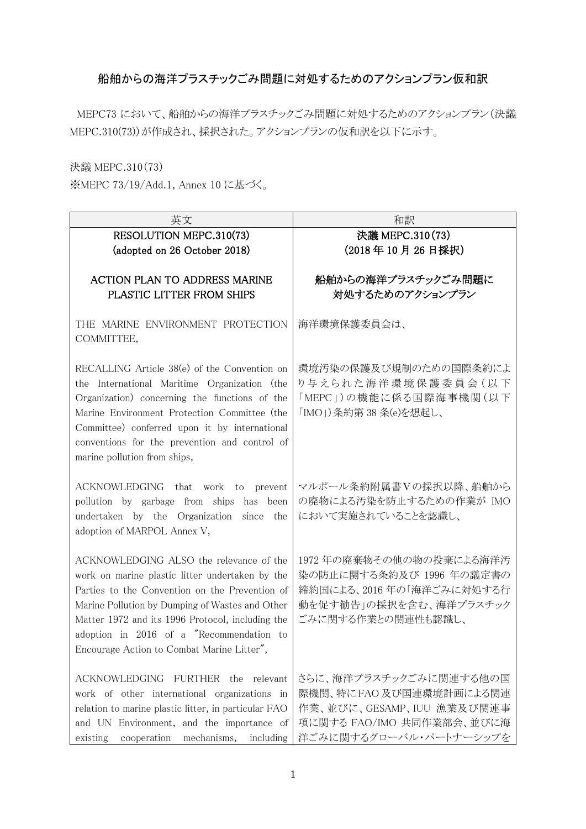# 船舶からの海洋プラスチックごみ問題に対処するためのアクションプラン仮和訳

MEPC73 において、船舶からの海洋プラスチックごみ問題に対処するためのアクションプラン(決議 MEPC.310(73))が作成され、採択された。アクションプランの仮和訳を以下に示す。

決議 MEPC.310(73)

※MEPC 73/19/Add.1, Annex 10 に基づく。

| 英文                                                                                                                                                                                                                                                                                                                                            | 和訳                                                                                                                                   |
|-----------------------------------------------------------------------------------------------------------------------------------------------------------------------------------------------------------------------------------------------------------------------------------------------------------------------------------------------|--------------------------------------------------------------------------------------------------------------------------------------|
| RESOLUTION MEPC.310(73)                                                                                                                                                                                                                                                                                                                       | 決議 MEPC.310(73)                                                                                                                      |
| (adopted on 26 October 2018)                                                                                                                                                                                                                                                                                                                  | (2018年10月26日採択)                                                                                                                      |
| <b>ACTION PLAN TO ADDRESS MARINE</b><br>PLASTIC LITTER FROM SHIPS                                                                                                                                                                                                                                                                             | 船舶からの海洋プラスチックごみ問題に<br>対処するためのアクションプラン                                                                                                |
| THE MARINE ENVIRONMENT PROTECTION<br>COMMITTEE,                                                                                                                                                                                                                                                                                               | 海洋環境保護委員会は、                                                                                                                          |
| RECALLING Article 38(e) of the Convention on<br>the International Maritime Organization (the<br>Organization) concerning the functions of the<br>Marine Environment Protection Committee (the<br>Committee) conferred upon it by international<br>conventions for the prevention and control of<br>marine pollution from ships,               | 環境汚染の保護及び規制のための国際条約によ<br>り与えられた海洋環境保護委員会 (以下<br>「MEPC」)の機能に係る国際海事機関(以下<br>「IMO」) 条約第 38 条(e)を想起し、                                    |
| ACKNOWLEDGING that work to<br>prevent<br>pollution by garbage from ships has been<br>undertaken by the Organization since the<br>adoption of MARPOL Annex V,                                                                                                                                                                                  | マルポール条約附属書Vの採択以降、船舶から<br>の廃物による汚染を防止するための作業が IMO<br>において実施されていることを認識し、                                                               |
| ACKNOWLEDGING ALSO the relevance of the<br>work on marine plastic litter undertaken by the<br>Parties to the Convention on the Prevention of<br>Marine Pollution by Dumping of Wastes and Other<br>Matter 1972 and its 1996 Protocol, including the<br>adoption in 2016 of a "Recommendation to<br>Encourage Action to Combat Marine Litter", | 1972年の廃棄物その他の物の投棄による海洋汚<br>染の防止に関する条約及び 1996 年の議定書の<br>締約国による、2016年の「海洋ごみに対処する行<br>動を促す勧告」の採択を含む、海洋プラスチック<br>ごみに関する作業との関連性も認識し、      |
| <b>ACKNOWLEDGING</b><br>FURTHER the relevant<br>work of other international organizations in<br>relation to marine plastic litter, in particular FAO<br>and UN Environment, and the importance of<br>mechanisms,<br>cooperation<br>including<br>existing                                                                                      | さらに、海洋プラスチックごみに関連する他の国<br>際機関、特にFAO及び国連環境計画による関連<br>作業、並びに、GESAMP、IUU 漁業及び関連事<br>項に関する FAO/IMO 共同作業部会、並びに海<br>洋ごみに関するグローバル・パートナーシップを |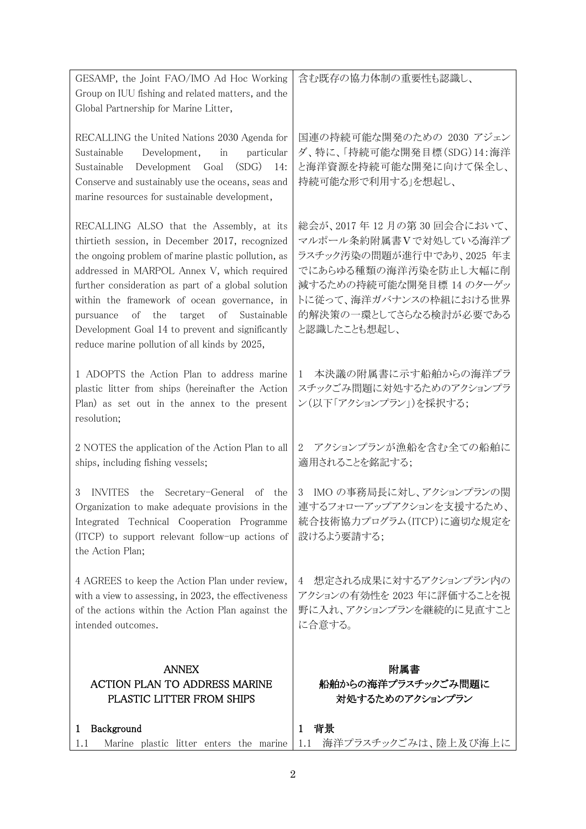| GESAMP, the Joint FAO/IMO Ad Hoc Working<br>Group on IUU fishing and related matters, and the<br>Global Partnership for Marine Litter,                                                                                                                                                                                                                                                                                                                          | 含む既存の協力体制の重要性も認識し、                                                                                                                                                                                      |
|-----------------------------------------------------------------------------------------------------------------------------------------------------------------------------------------------------------------------------------------------------------------------------------------------------------------------------------------------------------------------------------------------------------------------------------------------------------------|---------------------------------------------------------------------------------------------------------------------------------------------------------------------------------------------------------|
| RECALLING the United Nations 2030 Agenda for<br>Development,<br>Sustainable<br>in<br>particular<br>Sustainable<br>Development Goal<br>(SDG)<br>14:<br>Conserve and sustainably use the oceans, seas and<br>marine resources for sustainable development,                                                                                                                                                                                                        | 国連の持続可能な開発のための 2030 アジェン<br>ダ、特に、「持続可能な開発目標(SDG)14:海洋<br>と海洋資源を持続可能な開発に向けて保全し、<br>持続可能な形で利用する」を想起し、                                                                                                     |
| RECALLING ALSO that the Assembly, at its<br>thirtieth session, in December 2017, recognized<br>the ongoing problem of marine plastic pollution, as<br>addressed in MARPOL Annex V, which required<br>further consideration as part of a global solution<br>within the framework of ocean governance, in<br>of Sustainable<br>of the<br>target<br>pursuance<br>Development Goal 14 to prevent and significantly<br>reduce marine pollution of all kinds by 2025, | 総会が、2017年12月の第30回会合において、<br>マルポール条約附属書Vで対処している海洋プ<br>ラスチック汚染の問題が進行中であり、2025 年ま<br>でにあらゆる種類の海洋汚染を防止し大幅に削<br>減するための持続可能な開発目標 14 のターゲッ<br>トに従って、海洋ガバナンスの枠組における世界<br>的解決策の一環としてさらなる検討が必要である<br>と認識したことも想起し、 |
| 1 ADOPTS the Action Plan to address marine<br>plastic litter from ships (hereinafter the Action<br>Plan) as set out in the annex to the present<br>resolution;                                                                                                                                                                                                                                                                                                  | 本決議の附属書に示す船舶からの海洋プラ<br>$\mathbf{1}$<br>スチックごみ問題に対処するためのアクションプラ<br>ン(以下「アクションプラン」)を採択する;                                                                                                                 |
| 2 NOTES the application of the Action Plan to all<br>ships, including fishing vessels;                                                                                                                                                                                                                                                                                                                                                                          | アクションプランが漁船を含む全ての船舶に<br>2<br>適用されることを銘記する;                                                                                                                                                              |
| INVITES the<br>Secretary-General of the<br>3<br>Organization to make adequate provisions in the<br>Integrated Technical Cooperation Programme<br>(ITCP) to support relevant follow-up actions of<br>the Action Plan;                                                                                                                                                                                                                                            | IMO の事務局長に対し、アクションプランの関<br>3<br>連するフォローアップアクションを支援するため、<br>統合技術協力プログラム(ITCP)に適切な規定を<br>設けるよう要請する;                                                                                                       |
| 4 AGREES to keep the Action Plan under review,<br>with a view to assessing, in 2023, the effectiveness<br>of the actions within the Action Plan against the<br>intended outcomes.                                                                                                                                                                                                                                                                               | 想定される成果に対するアクションプラン内の<br>4<br>アクションの有効性を 2023 年に評価することを視<br>野に入れ、アクションプランを継続的に見直すこと<br>に合意する。                                                                                                           |
| <b>ANNEX</b><br><b>ACTION PLAN TO ADDRESS MARINE</b><br>PLASTIC LITTER FROM SHIPS                                                                                                                                                                                                                                                                                                                                                                               | 附属書<br>船舶からの海洋プラスチックごみ問題に<br>対処するためのアクションプラン                                                                                                                                                            |
| Background<br>1<br>Marine plastic litter enters the marine<br>1.1                                                                                                                                                                                                                                                                                                                                                                                               | 背景<br>$\mathbf{1}$<br>海洋プラスチックごみは、陸上及び海上に<br>1.1                                                                                                                                                        |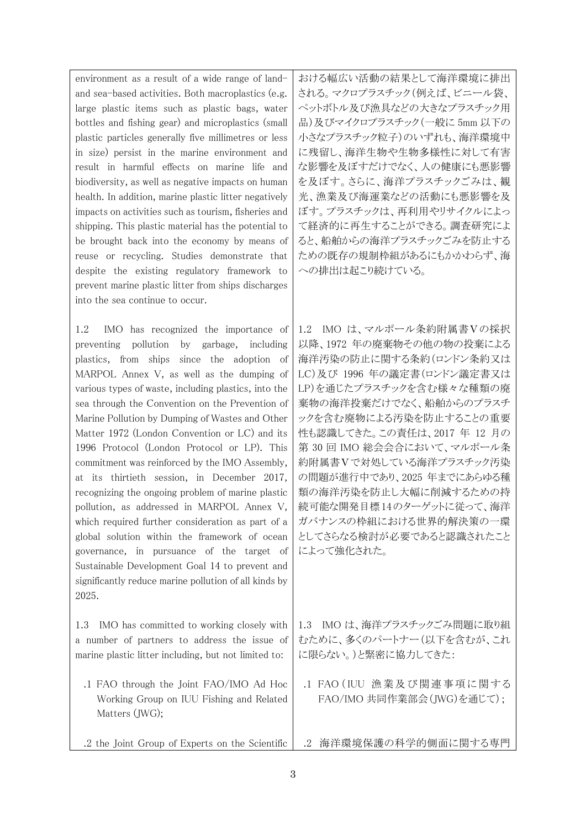environment as a result of a wide range of landand sea-based activities. Both macroplastics (e.g. large plastic items such as plastic bags, water bottles and fishing gear) and microplastics (small plastic particles generally five millimetres or less in size) persist in the marine environment and result in harmful effects on marine life and biodiversity, as well as negative impacts on human health. In addition, marine plastic litter negatively impacts on activities such as tourism, fisheries and shipping. This plastic material has the potential to be brought back into the economy by means of reuse or recycling. Studies demonstrate that despite the existing regulatory framework to prevent marine plastic litter from ships discharges into the sea continue to occur.

1.2 IMO has recognized the importance of preventing pollution by garbage, including plastics, from ships since the adoption of MARPOL Annex V, as well as the dumping of various types of waste, including plastics, into the sea through the Convention on the Prevention of Marine Pollution by Dumping of Wastes and Other Matter 1972 (London Convention or LC) and its 1996 Protocol (London Protocol or LP). This commitment was reinforced by the IMO Assembly, at its thirtieth session, in December 2017, recognizing the ongoing problem of marine plastic pollution, as addressed in MARPOL Annex V, which required further consideration as part of a global solution within the framework of ocean governance, in pursuance of the target of Sustainable Development Goal 14 to prevent and significantly reduce marine pollution of all kinds by 2025.

1.3 IMO has committed to working closely with a number of partners to address the issue of marine plastic litter including, but not limited to:

- .1 FAO through the Joint FAO/IMO Ad Hoc Working Group on IUU Fishing and Related Matters (JWG);
- .2 the Joint Group of Experts on the Scientific

おける幅広い活動の結果として海洋環境に排出 される。マクロプラスチック(例えば、ビニール袋、 ペットボトル及び漁具などの大きなプラスチック用 品)及びマイクロプラスチック(一般に 5mm 以下の 小さなプラスチック粒子)のいずれも、海洋環境中 に残留し、海洋生物や生物多様性に対して有害 な影響を及ぼすだけでなく、人の健康にも悪影響 を及ぼす。さらに、海洋プラスチックごみは、観 光、漁業及び海運業などの活動にも悪影響を及 ぼす。プラスチックは、再利用やリサイクルによっ て経済的に再生することができる。調査研究によ ると、船舶からの海洋プラスチックごみを防止する ための既存の規制枠組があるにもかかわらず、海 への排出は起こり続けている。

1.2 IMO は、マルポール条約附属書Ⅴの採択 以降、1972 年の廃棄物その他の物の投棄による 海洋汚染の防止に関する条約(ロンドン条約又は LC)及び 1996 年の議定書(ロンドン議定書又は LP)を通じたプラスチックを含む様々な種類の廃 棄物の海洋投棄だけでなく、船舶からのプラスチ ックを含む廃物による汚染を防止することの重要 性も認識してきた。この責任は、2017 年 12 月の 第 30 回 IMO 総会会合において、マルポール条 約附属書Ⅴで対処している海洋プラスチック汚染 の問題が進行中であり、2025 年までにあらゆる種 類の海洋汚染を防止し大幅に削減するための持 続可能な開発目標14のターゲットに従って、海洋 ガバナンスの枠組における世界的解決策の一環 としてさらなる検討が必要であると認識されたこと によって強化された。

1.3 IMO は、海洋プラスチックごみ問題に取り組 むために、多くのパートナー(以下を含むが、これ に限らない。)と緊密に協力してきた:

.1 FAO (IUU 漁業及び関連事項に関する FAO/IMO 共同作業部会(JWG)を通じて);

.2 海洋環境保護の科学的側面に関する専門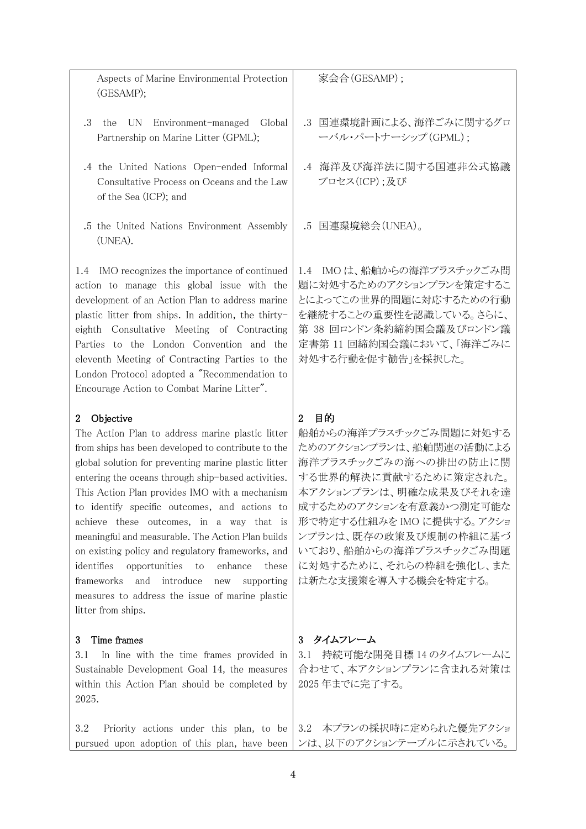Aspects of Marine Environmental Protection (GESAMP);

- .3 the UN Environment-managed Global Partnership on Marine Litter (GPML);
- .4 the United Nations Open-ended Informal Consultative Process on Oceans and the Law of the Sea (ICP); and
- .5 the United Nations Environment Assembly (UNEA).

1.4 IMO recognizes the importance of continued action to manage this global issue with the development of an Action Plan to address marine plastic litter from ships. In addition, the thirtyeighth Consultative Meeting of Contracting Parties to the London Convention and the eleventh Meeting of Contracting Parties to the London Protocol adopted a "Recommendation to Encourage Action to Combat Marine Litter".

### 2 Objective

The Action Plan to address marine plastic litter from ships has been developed to contribute to the global solution for preventing marine plastic litter entering the oceans through ship-based activities. This Action Plan provides IMO with a mechanism to identify specific outcomes, and actions to achieve these outcomes, in a way that is meaningful and measurable. The Action Plan builds on existing policy and regulatory frameworks, and identifies opportunities to enhance these frameworks and introduce new supporting measures to address the issue of marine plastic litter from ships.

#### 3 Time frames

3.1 In line with the time frames provided in Sustainable Development Goal 14, the measures within this Action Plan should be completed by 2025.

家会合(GESAMP);

- .3 国連環境計画による、海洋ごみに関するグロ ーバル・パートナーシップ(GPML);
- .4 海洋及び海洋法に関する国連非公式協議 プロセス(ICP);及び

.5 国連環境総会(UNEA)。

1.4 IMO は、船舶からの海洋プラスチックごみ問 題に対処するためのアクションプランを策定するこ とによってこの世界的問題に対応するための行動 を継続することの重要性を認識している。さらに、 第 38 回ロンドン条約締約国会議及びロンドン議 定書第 11 回締約国会議において、「海洋ごみに 対処する行動を促す勧告」を採択した。

## 2 目的

船舶からの海洋プラスチックごみ問題に対処する ためのアクションプランは、船舶関連の活動による 海洋プラスチックごみの海への排出の防止に関 する世界的解決に貢献するために策定された。 本アクションプランは、明確な成果及びそれを達 成するためのアクションを有意義かつ測定可能な 形で特定する仕組みを IMO に提供する。アクショ ンプランは、既存の政策及び規制の枠組に基づ いており、船舶からの海洋プラスチックごみ問題 に対処するために、それらの枠組を強化し、また は新たな支援策を導入する機会を特定する。

## 3 タイムフレーム

3.1 持続可能な開発目標 14 のタイムフレームに 合わせて、本アクションプランに含まれる対策は 2025 年までに完了する。

3.2 Priority actions under this plan, to be pursued upon adoption of this plan, have been 3.2 本プランの採択時に定められた優先アクショ ンは、以下のアクションテーブルに示されている。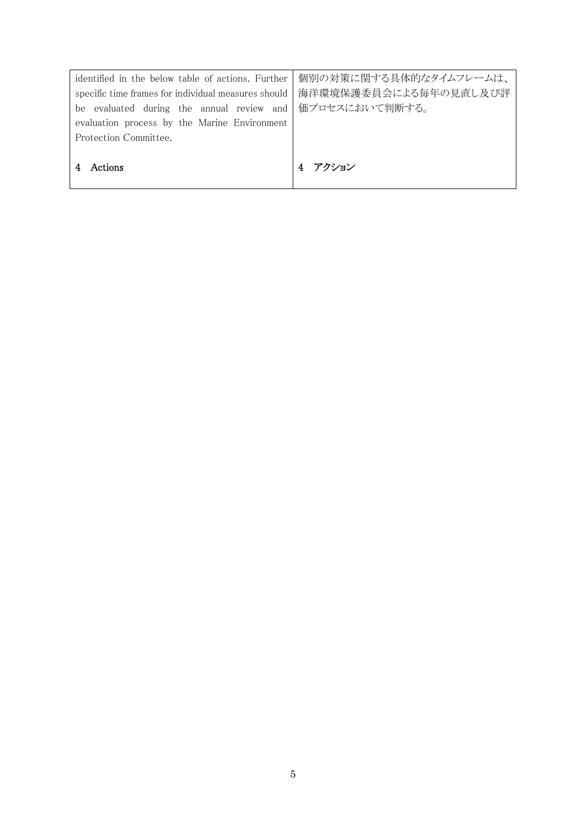| identified in the below table of actions. Further        | 個別の対策に関する具体的なタイムフレームは、 |
|----------------------------------------------------------|------------------------|
| specific time frames for individual measures should      | 海洋環境保護委員会による毎年の見直し及び評  |
| be evaluated during the annual review and 価プロセスにおいて判断する。 |                        |
| evaluation process by the Marine Environment             |                        |
| Protection Committee.                                    |                        |
|                                                          |                        |
| Actions                                                  | アクション                  |
|                                                          |                        |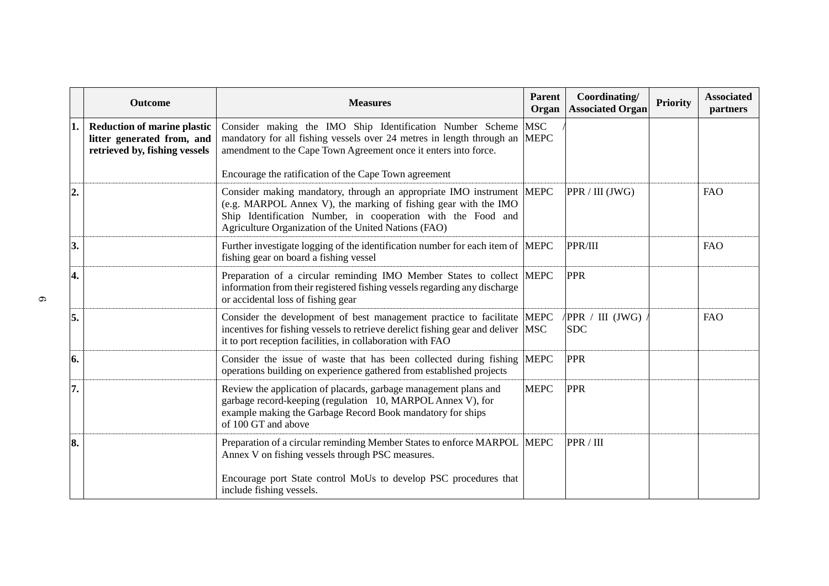|    | Outcome                                                                                           | <b>Measures</b>                                                                                                                                                                                                                                                     | <b>Parent</b><br>Organ | Coordinating/<br><b>Associated Organ</b>        | <b>Priority</b> | <b>Associated</b><br>partners |
|----|---------------------------------------------------------------------------------------------------|---------------------------------------------------------------------------------------------------------------------------------------------------------------------------------------------------------------------------------------------------------------------|------------------------|-------------------------------------------------|-----------------|-------------------------------|
| 1. | <b>Reduction of marine plastic</b><br>litter generated from, and<br>retrieved by, fishing vessels | Consider making the IMO Ship Identification Number Scheme<br>mandatory for all fishing vessels over 24 metres in length through an MEPC<br>amendment to the Cape Town Agreement once it enters into force.<br>Encourage the ratification of the Cape Town agreement | <b>MSC</b>             |                                                 |                 |                               |
| 2. |                                                                                                   | Consider making mandatory, through an appropriate IMO instrument MEPC<br>(e.g. MARPOL Annex V), the marking of fishing gear with the IMO<br>Ship Identification Number, in cooperation with the Food and<br>Agriculture Organization of the United Nations (FAO)    |                        | PPR / III (JWG)                                 |                 | <b>FAO</b>                    |
| 3. |                                                                                                   | Further investigate logging of the identification number for each item of MEPC<br>fishing gear on board a fishing vessel                                                                                                                                            |                        | PPR/III                                         |                 | <b>FAO</b>                    |
| 4. |                                                                                                   | Preparation of a circular reminding IMO Member States to collect MEPC<br>information from their registered fishing vessels regarding any discharge<br>or accidental loss of fishing gear                                                                            |                        | <b>PPR</b>                                      |                 |                               |
| 5. |                                                                                                   | Consider the development of best management practice to facilitate MEPC<br>incentives for fishing vessels to retrieve derelict fishing gear and deliver MSC<br>it to port reception facilities, in collaboration with FAO                                           |                        | $\sqrt{PPR}$ / $\text{III}$ (JWG)<br><b>SDC</b> |                 | <b>FAO</b>                    |
| 6. |                                                                                                   | Consider the issue of waste that has been collected during fishing MEPC<br>operations building on experience gathered from established projects                                                                                                                     |                        | <b>PPR</b>                                      |                 |                               |
| 7. |                                                                                                   | Review the application of placards, garbage management plans and<br>garbage record-keeping (regulation 10, MARPOL Annex V), for<br>example making the Garbage Record Book mandatory for ships<br>of 100 GT and above                                                | <b>MEPC</b>            | <b>PPR</b>                                      |                 |                               |
| 8. |                                                                                                   | Preparation of a circular reminding Member States to enforce MARPOL  MEPC<br>Annex V on fishing vessels through PSC measures.<br>Encourage port State control MoUs to develop PSC procedures that<br>include fishing vessels.                                       |                        | PPR / III                                       |                 |                               |

 $\sigma$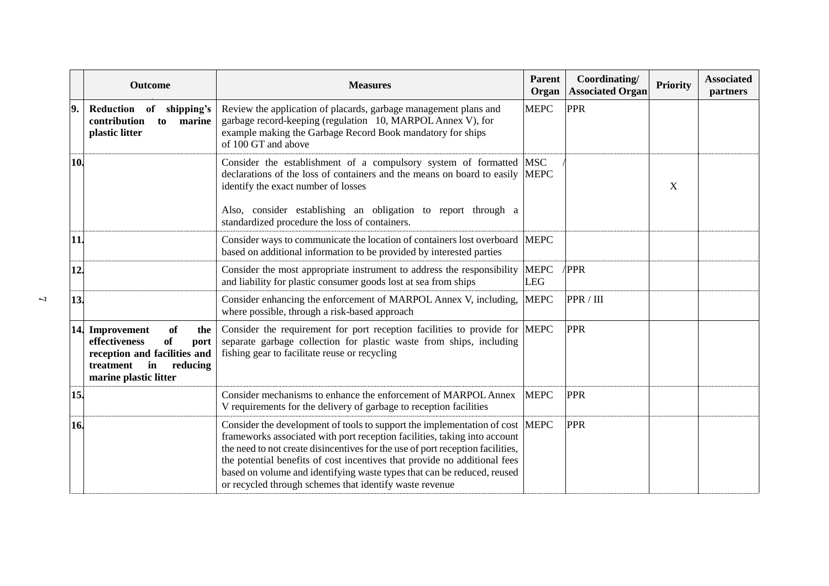|             | <b>Outcome</b>                                                                                                                                             | <b>Measures</b>                                                                                                                                                                                                                                                                                                                                                                                                                                                | <b>Parent</b><br>Organ    | Coordinating/<br><b>Associated Organ</b> | <b>Priority</b> | <b>Associated</b><br>partners |
|-------------|------------------------------------------------------------------------------------------------------------------------------------------------------------|----------------------------------------------------------------------------------------------------------------------------------------------------------------------------------------------------------------------------------------------------------------------------------------------------------------------------------------------------------------------------------------------------------------------------------------------------------------|---------------------------|------------------------------------------|-----------------|-------------------------------|
| $ 9\rangle$ | Reduction<br>shipping's<br>of<br>contribution<br>to<br>marine<br>plastic litter                                                                            | Review the application of placards, garbage management plans and<br>garbage record-keeping (regulation 10, MARPOL Annex V), for<br>example making the Garbage Record Book mandatory for ships<br>of 100 GT and above                                                                                                                                                                                                                                           | <b>MEPC</b>               | <b>PPR</b>                               |                 |                               |
| 10          |                                                                                                                                                            | Consider the establishment of a compulsory system of formatted<br>declarations of the loss of containers and the means on board to easily<br>identify the exact number of losses<br>Also, consider establishing an obligation to report through a<br>standardized procedure the loss of containers.                                                                                                                                                            | <b>MSC</b><br><b>MEPC</b> |                                          | X               |                               |
| 11          |                                                                                                                                                            | Consider ways to communicate the location of containers lost overboard MEPC<br>based on additional information to be provided by interested parties                                                                                                                                                                                                                                                                                                            |                           |                                          |                 |                               |
| 12          |                                                                                                                                                            | Consider the most appropriate instrument to address the responsibility<br>and liability for plastic consumer goods lost at sea from ships                                                                                                                                                                                                                                                                                                                      | <b>MEPC</b><br><b>LEG</b> | <b>PPR</b>                               |                 |                               |
| 13.         |                                                                                                                                                            | Consider enhancing the enforcement of MARPOL Annex V, including,<br>where possible, through a risk-based approach                                                                                                                                                                                                                                                                                                                                              | <b>MEPC</b>               | PPR / III                                |                 |                               |
|             | 14. Improvement<br>of<br>the<br><b>of</b><br>effectiveness<br>port<br>reception and facilities and<br>treatment<br>reducing<br>in<br>marine plastic litter | Consider the requirement for port reception facilities to provide for MEPC<br>separate garbage collection for plastic waste from ships, including<br>fishing gear to facilitate reuse or recycling                                                                                                                                                                                                                                                             |                           | <b>PPR</b>                               |                 |                               |
| 15.         |                                                                                                                                                            | Consider mechanisms to enhance the enforcement of MARPOL Annex<br>V requirements for the delivery of garbage to reception facilities                                                                                                                                                                                                                                                                                                                           | <b>MEPC</b>               | <b>PPR</b>                               |                 |                               |
| 16.         |                                                                                                                                                            | Consider the development of tools to support the implementation of cost MEPC<br>frameworks associated with port reception facilities, taking into account<br>the need to not create disincentives for the use of port reception facilities,<br>the potential benefits of cost incentives that provide no additional fees<br>based on volume and identifying waste types that can be reduced, reused<br>or recycled through schemes that identify waste revenue |                           | <b>PPR</b>                               |                 |                               |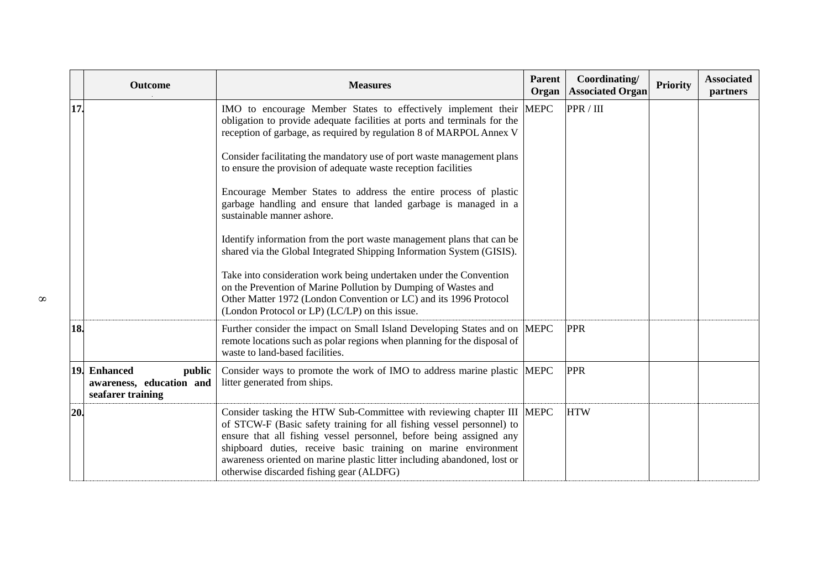| <b>Outcome</b>                                                          | <b>Measures</b>                                                                                                                                                                                                                                                                                                                                                                                                   | Parent<br>Organ | Coordinating/<br><b>Associated Organ</b> | <b>Priority</b> | <b>Associated</b><br>partners |
|-------------------------------------------------------------------------|-------------------------------------------------------------------------------------------------------------------------------------------------------------------------------------------------------------------------------------------------------------------------------------------------------------------------------------------------------------------------------------------------------------------|-----------------|------------------------------------------|-----------------|-------------------------------|
| 17                                                                      | IMO to encourage Member States to effectively implement their<br>obligation to provide adequate facilities at ports and terminals for the<br>reception of garbage, as required by regulation 8 of MARPOL Annex V                                                                                                                                                                                                  | <b>MEPC</b>     | PPR / III                                |                 |                               |
|                                                                         | Consider facilitating the mandatory use of port waste management plans<br>to ensure the provision of adequate waste reception facilities                                                                                                                                                                                                                                                                          |                 |                                          |                 |                               |
|                                                                         | Encourage Member States to address the entire process of plastic<br>garbage handling and ensure that landed garbage is managed in a<br>sustainable manner ashore.                                                                                                                                                                                                                                                 |                 |                                          |                 |                               |
|                                                                         | Identify information from the port waste management plans that can be<br>shared via the Global Integrated Shipping Information System (GISIS).                                                                                                                                                                                                                                                                    |                 |                                          |                 |                               |
|                                                                         | Take into consideration work being undertaken under the Convention<br>on the Prevention of Marine Pollution by Dumping of Wastes and<br>Other Matter 1972 (London Convention or LC) and its 1996 Protocol<br>(London Protocol or LP) (LC/LP) on this issue.                                                                                                                                                       |                 |                                          |                 |                               |
| 18.                                                                     | Further consider the impact on Small Island Developing States and on  MEPC<br>remote locations such as polar regions when planning for the disposal of<br>waste to land-based facilities.                                                                                                                                                                                                                         |                 | <b>PPR</b>                               |                 |                               |
| 19. Enhanced<br>public<br>awareness, education and<br>seafarer training | Consider ways to promote the work of IMO to address marine plastic MEPC<br>litter generated from ships.                                                                                                                                                                                                                                                                                                           |                 | <b>PPR</b>                               |                 |                               |
| 20.                                                                     | Consider tasking the HTW Sub-Committee with reviewing chapter III  MEPC<br>of STCW-F (Basic safety training for all fishing vessel personnel) to<br>ensure that all fishing vessel personnel, before being assigned any<br>shipboard duties, receive basic training on marine environment<br>awareness oriented on marine plastic litter including abandoned, lost or<br>otherwise discarded fishing gear (ALDFG) |                 | <b>HTW</b>                               |                 |                               |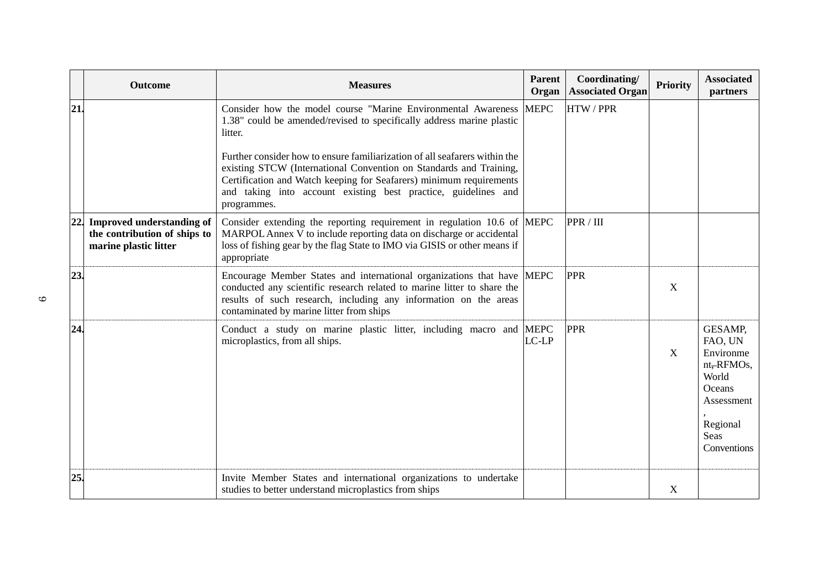|     | <b>Outcome</b>                                                                         | <b>Measures</b>                                                                                                                                                                                                                                                                                          | <b>Parent</b><br>Organ | Coordinating/<br><b>Associated Organ</b> | <b>Priority</b> | <b>Associated</b><br>partners                                                                                     |
|-----|----------------------------------------------------------------------------------------|----------------------------------------------------------------------------------------------------------------------------------------------------------------------------------------------------------------------------------------------------------------------------------------------------------|------------------------|------------------------------------------|-----------------|-------------------------------------------------------------------------------------------------------------------|
| 21. |                                                                                        | Consider how the model course "Marine Environmental Awareness"<br>1.38" could be amended/revised to specifically address marine plastic<br>litter.                                                                                                                                                       | <b>MEPC</b>            | <b>HTW/PPR</b>                           |                 |                                                                                                                   |
|     |                                                                                        | Further consider how to ensure familiarization of all seafarers within the<br>existing STCW (International Convention on Standards and Training,<br>Certification and Watch keeping for Seafarers) minimum requirements<br>and taking into account existing best practice, guidelines and<br>programmes. |                        |                                          |                 |                                                                                                                   |
|     | 22. Improved understanding of<br>the contribution of ships to<br>marine plastic litter | Consider extending the reporting requirement in regulation 10.6 of MEPC<br>MARPOL Annex V to include reporting data on discharge or accidental<br>loss of fishing gear by the flag State to IMO via GISIS or other means if<br>appropriate                                                               |                        | PPR / III                                |                 |                                                                                                                   |
| 23. |                                                                                        | Encourage Member States and international organizations that have MEPC<br>conducted any scientific research related to marine litter to share the<br>results of such research, including any information on the areas<br>contaminated by marine litter from ships                                        |                        | <b>PPR</b>                               | X               |                                                                                                                   |
| 24  |                                                                                        | Conduct a study on marine plastic litter, including macro and MEPC<br>microplastics, from all ships.                                                                                                                                                                                                     | LC-LP                  | <b>PPR</b>                               | X               | GESAMP,<br>FAO, UN<br>Environme<br>nt, RFMOs,<br>World<br>Oceans<br>Assessment<br>Regional<br>Seas<br>Conventions |
| 25. |                                                                                        | Invite Member States and international organizations to undertake<br>studies to better understand microplastics from ships                                                                                                                                                                               |                        |                                          | $\mathbf X$     |                                                                                                                   |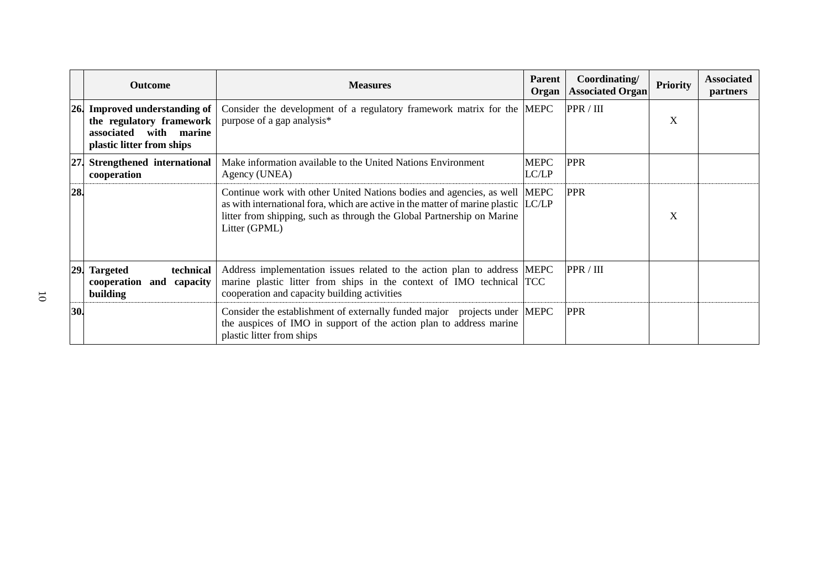|     | <b>Outcome</b>                                                                                                         | <b>Measures</b>                                                                                                                                                                                                                                            | Parent<br>Organ      | Coordinating/<br><b>Associated Organ</b> | <b>Priority</b> | <b>Associated</b><br>partners |
|-----|------------------------------------------------------------------------------------------------------------------------|------------------------------------------------------------------------------------------------------------------------------------------------------------------------------------------------------------------------------------------------------------|----------------------|------------------------------------------|-----------------|-------------------------------|
| 26. | <b>Improved understanding of</b><br>the regulatory framework<br>with marine<br>associated<br>plastic litter from ships | Consider the development of a regulatory framework matrix for the MEPC<br>purpose of a gap analysis*                                                                                                                                                       |                      | PPR / III                                | X               |                               |
| 27. | Strengthened international<br>cooperation                                                                              | Make information available to the United Nations Environment<br>Agency (UNEA)                                                                                                                                                                              | <b>MEPC</b><br>LC/LP | <b>PPR</b>                               |                 |                               |
| 28  |                                                                                                                        | Continue work with other United Nations bodies and agencies, as well MEPC<br>as with international fora, which are active in the matter of marine plastic LC/LP<br>litter from shipping, such as through the Global Partnership on Marine<br>Litter (GPML) |                      | <b>PPR</b>                               | X               |                               |
| 29. | technical<br><b>Targeted</b><br>cooperation<br>and capacity<br>building                                                | Address implementation issues related to the action plan to address MEPC<br>marine plastic litter from ships in the context of IMO technical TCC<br>cooperation and capacity building activities                                                           |                      | PPR / III                                |                 |                               |
| 30. |                                                                                                                        | Consider the establishment of externally funded major projects under MEPC<br>the auspices of IMO in support of the action plan to address marine<br>plastic litter from ships                                                                              |                      | <b>PPR</b>                               |                 |                               |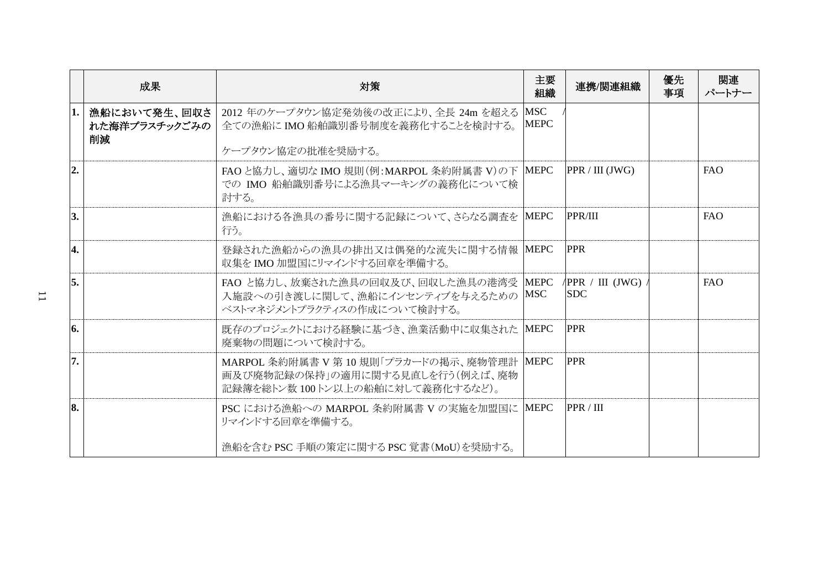|                | 成果                                  | 対策                                                                                                                | 主要<br>組織                  | 連携/関連組織                                | 優先<br>事項 | 関連<br>パートナー |
|----------------|-------------------------------------|-------------------------------------------------------------------------------------------------------------------|---------------------------|----------------------------------------|----------|-------------|
| 1.             | 漁船において発生、回収さ<br>れた海洋プラスチックごみの<br>削減 | 2012 年のケープタウン協定発効後の改正により、全長 24m を超える<br>全ての漁船にIMO船舶識別番号制度を義務化することを検討する。                                           | <b>MSC</b><br><b>MEPC</b> |                                        |          |             |
|                |                                     | ケープタウン協定の批准を奨励する。                                                                                                 |                           |                                        |          |             |
| $\overline{2}$ |                                     | FAOと協力し、適切な IMO 規則(例:MARPOL 条約附属書 V)の下  MEPC<br>での IMO 船舶識別番号による漁具マーキングの義務化について検<br>討する。                          |                           | PPR / III (JWG)                        |          | <b>FAO</b>  |
| 3.             |                                     | 漁船における各漁具の番号に関する記録について、さらなる調査を MEPC<br>行う。                                                                        |                           | PPR/III                                |          | <b>FAO</b>  |
| 4.             |                                     | 登録された漁船からの漁具の排出又は偶発的な流失に関する情報 MEPC<br>収集をIMO加盟国にリマインドする回章を準備する。                                                   |                           | <b>PPR</b>                             |          |             |
| 5.             |                                     | FAO と協力し、放棄された漁具の回収及び、回収した漁具の港湾受<br>入施設への引き渡しに関して、漁船にインセンティブを与えるための<br>ベストマネジメントプラクティスの作成について検討する。                | <b>MEPC</b><br><b>MSC</b> | $\sqrt{PPR}$ / III (JWG)<br><b>SDC</b> |          | <b>FAO</b>  |
| 6.             |                                     | 既存のプロジェクトにおける経験に基づき、漁業活動中に収集された<br>廃棄物の問題について検討する。                                                                | <b>MEPC</b>               | <b>PPR</b>                             |          |             |
| 7.             |                                     | MARPOL 条約附属書 V 第 10 規則「プラカードの掲示、廃物管理計 MEPC<br>画及び廃物記録の保持」の適用に関する見直しを行う(例えば、廃物<br>記録簿を総トン数 100トン以上の船舶に対して義務化するなど)。 |                           | <b>PPR</b>                             |          |             |
| 8.             |                                     | PSC における漁船への MARPOL 条約附属書 V の実施を加盟国に MEPC<br>リマインドする回章を準備する。                                                      |                           | PPR / III                              |          |             |
|                |                                     | 漁船を含む PSC 手順の策定に関する PSC 覚書(MoU)を奨励する。                                                                             |                           |                                        |          |             |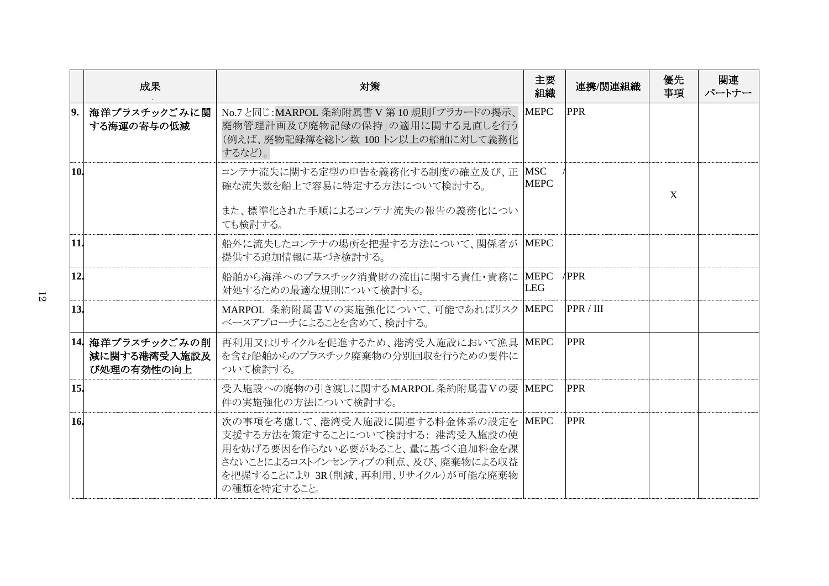|            | 成果                                             | 対策                                                                                                                                                                                                 | 主要<br>組織                  | 連携/関連組織    | 優先<br>事項    | 関連<br>パートナー |
|------------|------------------------------------------------|----------------------------------------------------------------------------------------------------------------------------------------------------------------------------------------------------|---------------------------|------------|-------------|-------------|
| 9.         | 海洋プラスチックごみに関<br>する海運の寄与の低減                     | No.7と同じ:MARPOL 条約附属書 V 第10規則「プラカードの掲示、<br>廃物管理計画及び廃物記録の保持」の適用に関する見直しを行う<br>(例えば、廃物記録簿を総トン数 100トン以上の船舶に対して義務化<br>するなど)。                                                                             | <b>MEPC</b>               | <b>PPR</b> |             |             |
| <b>10.</b> |                                                | コンテナ流失に関する定型の申告を義務化する制度の確立及び、正<br>確な流失数を船上で容易に特定する方法について検討する。<br>また、標準化された手順によるコンテナ流失の報告の義務化につい<br>ても検討する。                                                                                         | <b>MSC</b><br><b>MEPC</b> |            | $\mathbf X$ |             |
| 11.        |                                                | 船外に流失したコンテナの場所を把握する方法について、関係者が<br>提供する追加情報に基づき検討する。                                                                                                                                                | <b>MEPC</b>               |            |             |             |
| 12.        |                                                | 船舶から海洋へのプラスチック消費財の流出に関する責任・責務に<br>対処するための最適な規則について検討する。                                                                                                                                            | <b>MEPC</b><br>LEG        | /PPR       |             |             |
| 13.        |                                                | MARPOL 条約附属書Vの実施強化について、可能であればリスク MEPC<br>ベースアプローチによることを含めて、検討する。                                                                                                                                   |                           | PPR / III  |             |             |
|            | 14  海洋プラスチックごみの削<br>減に関する港湾受入施設及<br>び処理の有効性の向上 | 再利用又はリサイクルを促進するため、港湾受入施設において漁具 MEPC<br>を含む船舶からのプラスチック廃棄物の分別回収を行うための要件に<br>ついて検討する。                                                                                                                 |                           | <b>PPR</b> |             |             |
| 15.        |                                                | 受入施設への廃物の引き渡しに関するMARPOL 条約附属書Vの要 MEPC<br>件の実施強化の方法について検討する。                                                                                                                                        |                           | <b>PPR</b> |             |             |
| 16.        |                                                | 次の事項を考慮して、港湾受入施設に関連する料金体系の設定を MEPC<br>支援する方法を策定することについて検討する: 港湾受入施設の使<br>用を妨げる要因を作らない必要があること、量に基づく追加料金を課<br>さないことによるコストインセンティブの利点、及び、廃棄物による収益<br>を把握することにより 3R(削減、再利用、リサイクル)が可能な廃棄物<br>の種類を特定すること。 |                           | <b>PPR</b> |             |             |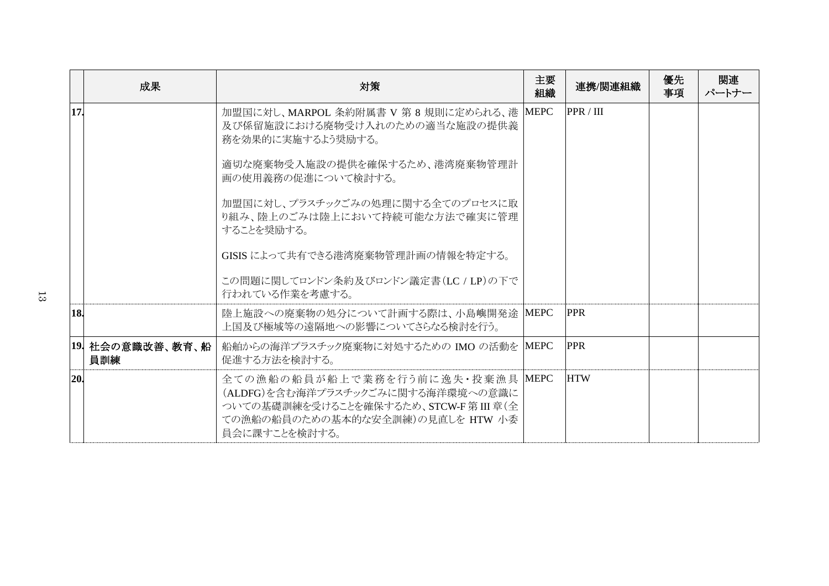|     | 成果                        | 対策                                                                                                                                                                  | 主要<br>組織 | 連携/関連組織    | 優先<br>事項 | 関連<br>パートナー |
|-----|---------------------------|---------------------------------------------------------------------------------------------------------------------------------------------------------------------|----------|------------|----------|-------------|
| 17. |                           | 加盟国に対し、MARPOL 条約附属書 V 第 8 規則に定められる、港 MEPC<br>及び係留施設における廃物受け入れのための適当な施設の提供義<br>務を効果的に実施するよう奨励する。                                                                     |          | PPR / III  |          |             |
|     |                           | 適切な廃棄物受入施設の提供を確保するため、港湾廃棄物管理計<br>画の使用義務の促進について検討する。                                                                                                                 |          |            |          |             |
|     |                           | 加盟国に対し、プラスチックごみの処理に関する全てのプロセスに取<br>り組み、陸上のごみは陸上において持続可能な方法で確実に管理<br>することを奨励する。                                                                                      |          |            |          |             |
|     |                           | GISIS によって共有できる港湾廃棄物管理計画の情報を特定する。                                                                                                                                   |          |            |          |             |
|     |                           | この問題に関してロンドン条約及びロンドン議定書(LC / LP)の下で<br>行われている作業を考慮する。                                                                                                               |          |            |          |             |
| 18. |                           | 陸上施設への廃棄物の処分について計画する際は、小島嶼開発途 MEPC<br>上国及び極域等の遠隔地への影響についてさらなる検討を行う。                                                                                                 |          | <b>PPR</b> |          |             |
|     | 19  社会の意識改善、教育、船  <br>員訓練 | 船舶からの海洋プラスチック廃棄物に対処するための IMO の活動を MEPC<br>促進する方法を検討する。                                                                                                              |          | <b>PPR</b> |          |             |
| 20. |                           | 全ての漁船の船員が船上で業務を行う前に逸失・投棄漁具 MEPC<br>(ALDFG)を含む海洋プラスチックごみに関する海洋環境への意識に<br>ついての基礎訓練を受けることを確保するため、STCW-F 第 III 章(全<br>ての漁船の船員のための基本的な安全訓練)の見直しを HTW 小委<br>員会に課すことを検討する。 |          | <b>HTW</b> |          |             |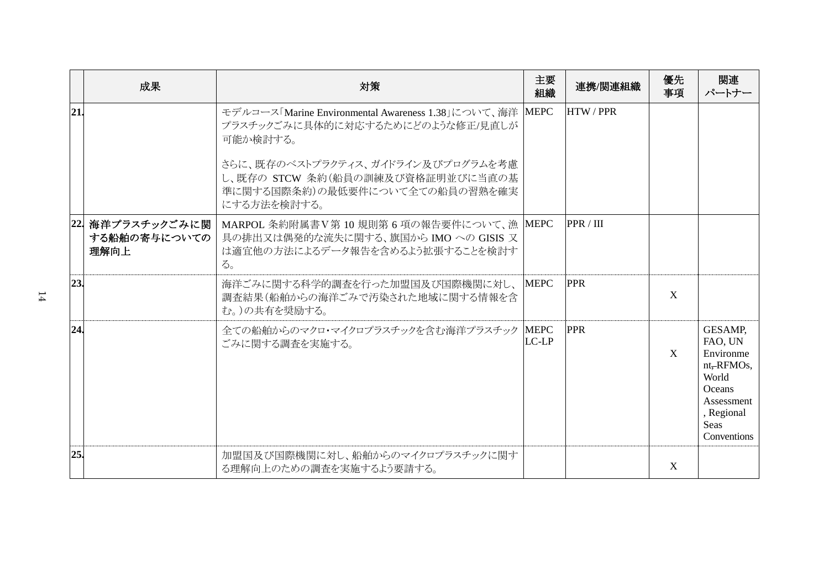|     | 成果                                        | 対策                                                                                                                                           | 主要<br>組織             | 連携/関連組織        | 優先<br>事項 | 関連<br>パートナー                                                                                                                |
|-----|-------------------------------------------|----------------------------------------------------------------------------------------------------------------------------------------------|----------------------|----------------|----------|----------------------------------------------------------------------------------------------------------------------------|
| 21  |                                           | モデルコース「Marine Environmental Awareness 1.38」について、海洋 MEPC<br>プラスチックごみに具体的に対応するためにどのような修正/見直しが<br>可能か検討する。<br>さらに、既存のベストプラクティス、ガイドライン及びプログラムを考慮 |                      | <b>HTW/PPR</b> |          |                                                                                                                            |
|     |                                           | し、既存の STCW 条約(船員の訓練及び資格証明並びに当直の基<br>準に関する国際条約)の最低要件について全ての船員の習熟を確実<br>にする方法を検討する。                                                            |                      |                |          |                                                                                                                            |
|     | 22  海洋プラスチックごみに関 <br>する船舶の寄与についての<br>理解向上 | MARPOL 条約附属書V第 10 規則第6項の報告要件について、漁 MEPC<br>具の排出又は偶発的な流失に関する、旗国から IMO への GISIS 又<br>は適宜他の方法によるデータ報告を含めるよう拡張することを検討す<br>る。                     |                      | PPR / III      |          |                                                                                                                            |
| 23. |                                           | 海洋ごみに関する科学的調査を行った加盟国及び国際機関に対し、MEPC<br>調査結果(船舶からの海洋ごみで汚染された地域に関する情報を含<br>む。)の共有を奨励する。                                                         |                      | <b>PPR</b>     | X        |                                                                                                                            |
| 24. |                                           | 全ての船舶からのマクロ・マイクロプラスチックを含む海洋プラスチック<br>ごみに関する調査を実施する。                                                                                          | <b>MEPC</b><br>LC-LP | <b>PPR</b>     | X        | GESAMP,<br>FAO, UN<br>Environme<br>nt, RFMOs,<br>World<br><b>Oceans</b><br>Assessment<br>, Regional<br>Seas<br>Conventions |
| 25. |                                           | 加盟国及び国際機関に対し、船舶からのマイクロプラスチックに関す<br>る理解向上のための調査を実施するよう要請する。                                                                                   |                      |                | X        |                                                                                                                            |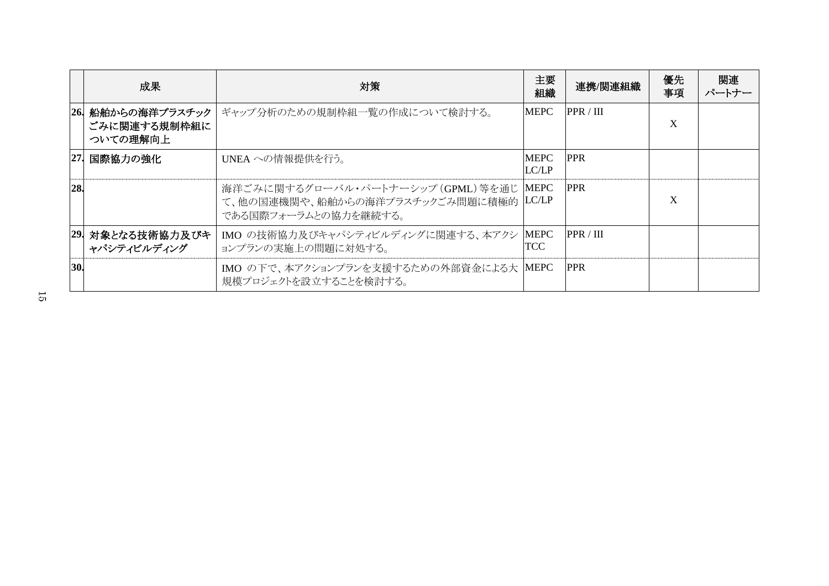|            | 成果                                        | 対策                                                                                                       | 主要<br>組織             | 連携/関連組織    | 優先<br>事項 | 関連<br>パートナー |
|------------|-------------------------------------------|----------------------------------------------------------------------------------------------------------|----------------------|------------|----------|-------------|
| <b>26.</b> | 船舶からの海洋プラスチック<br>ごみに関連する規制枠組に<br>ついての理解向上 | ギャップ分析のための規制枠組一覧の作成について検討する。                                                                             | MEPC                 | PPR / III  | X        |             |
| 27.        | 国際協力の強化                                   | UNEA への情報提供を行う。                                                                                          | <b>MEPC</b><br>LC/LP | <b>PPR</b> |          |             |
| 28.        |                                           | 海洋ごみに関するグローバル・パートナーシップ (GPML) 等を通じ MEPC<br>て、他の国連機関や、船舶からの海洋プラスチックごみ問題に積極的 LC/LP<br>である国際フォーラムとの協力を継続する。 |                      | <b>PPR</b> | X        |             |
|            | 29. 対象となる技術協力及びキ<br>ャパシティビルディング           | IMO の技術協力及びキャパシティビルディングに関連する、本アクシ<br>ョンプランの実施上の問題に対処する。                                                  | MEPC<br>TCC          | PPR / III  |          |             |
| 30         |                                           | IMO の下で、本アクションプランを支援するための外部資金による大 MEPC<br>規模プロジェクトを設立することを検討する。                                          |                      | <b>PPR</b> |          |             |